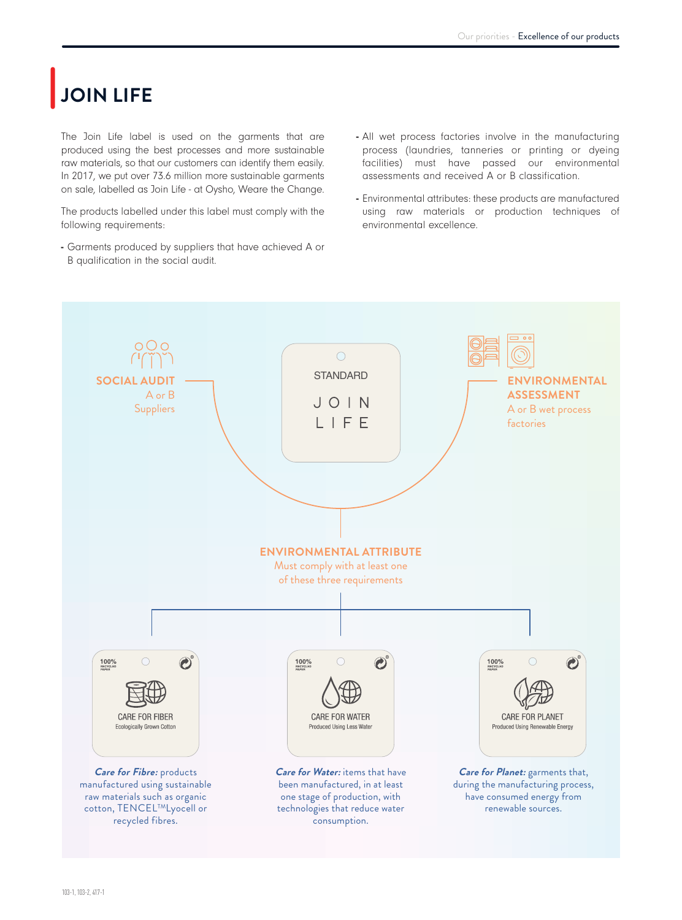## |**JOIN LIFE**

The Join Life label is used on the garments that are produced using the best processes and more sustainable raw materials, so that our customers can identify them easily. In 2017, we put over 73.6 million more sustainable garments on sale, labelled as Join Life - at Oysho, Weare the Change.

The products labelled under this label must comply with the following requirements:

- Garments produced by suppliers that have achieved A or B qualification in the social audit.
- All wet process factories involve in the manufacturing process (laundries, tanneries or printing or dyeing facilities) must have passed our environmental assessments and received A or B classification.
- Environmental attributes: these products are manufactured using raw materials or production techniques of environmental excellence.